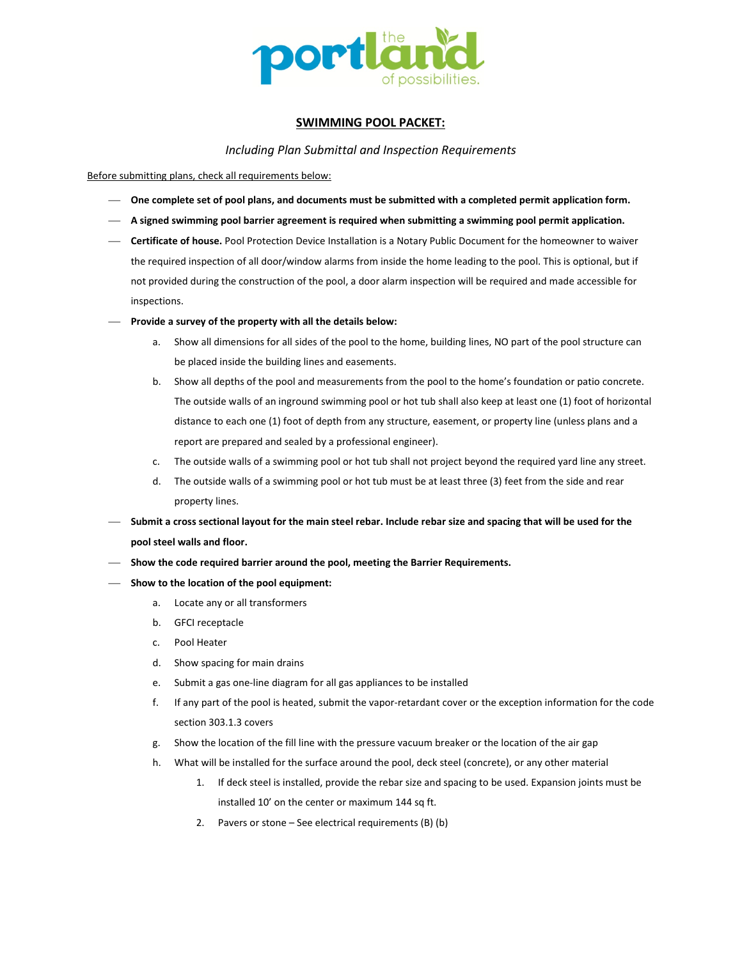

# **SWIMMING POOL PACKET:**

*Including Plan Submittal and Inspection Requirements*

Before submitting plans, check all requirements below:

- **One complete set of pool plans, and documents must be submitted with a completed permit application form.**
- **A signed swimming pool barrier agreement is required when submitting a swimming pool permit application.**
- **Certificate of house.** Pool Protection Device Installation is a Notary Public Document for the homeowner to waiver the required inspection of all door/window alarms from inside the home leading to the pool. This is optional, but if not provided during the construction of the pool, a door alarm inspection will be required and made accessible for inspections.
- **Provide a survey of the property with all the details below:**
	- a. Show all dimensions for all sides of the pool to the home, building lines, NO part of the pool structure can be placed inside the building lines and easements.
	- b. Show all depths of the pool and measurements from the pool to the home's foundation or patio concrete. The outside walls of an inground swimming pool or hot tub shall also keep at least one (1) foot of horizontal distance to each one (1) foot of depth from any structure, easement, or property line (unless plans and a report are prepared and sealed by a professional engineer).
	- c. The outside walls of a swimming pool or hot tub shall not project beyond the required yard line any street.
	- d. The outside walls of a swimming pool or hot tub must be at least three (3) feet from the side and rear property lines.
- **Submit a cross sectional layout for the main steel rebar. Include rebar size and spacing that will be used for the pool steel walls and floor.**
- **Show the code required barrier around the pool, meeting the Barrier Requirements.**
- **Show to the location of the pool equipment:**
	- a. Locate any or all transformers
	- b. GFCI receptacle
	- c. Pool Heater
	- d. Show spacing for main drains
	- e. Submit a gas one-line diagram for all gas appliances to be installed
	- f. If any part of the pool is heated, submit the vapor-retardant cover or the exception information for the code section 303.1.3 covers
	- g. Show the location of the fill line with the pressure vacuum breaker or the location of the air gap
	- h. What will be installed for the surface around the pool, deck steel (concrete), or any other material
		- 1. If deck steel is installed, provide the rebar size and spacing to be used. Expansion joints must be installed 10' on the center or maximum 144 sq ft.
		- 2. Pavers or stone See electrical requirements (B) (b)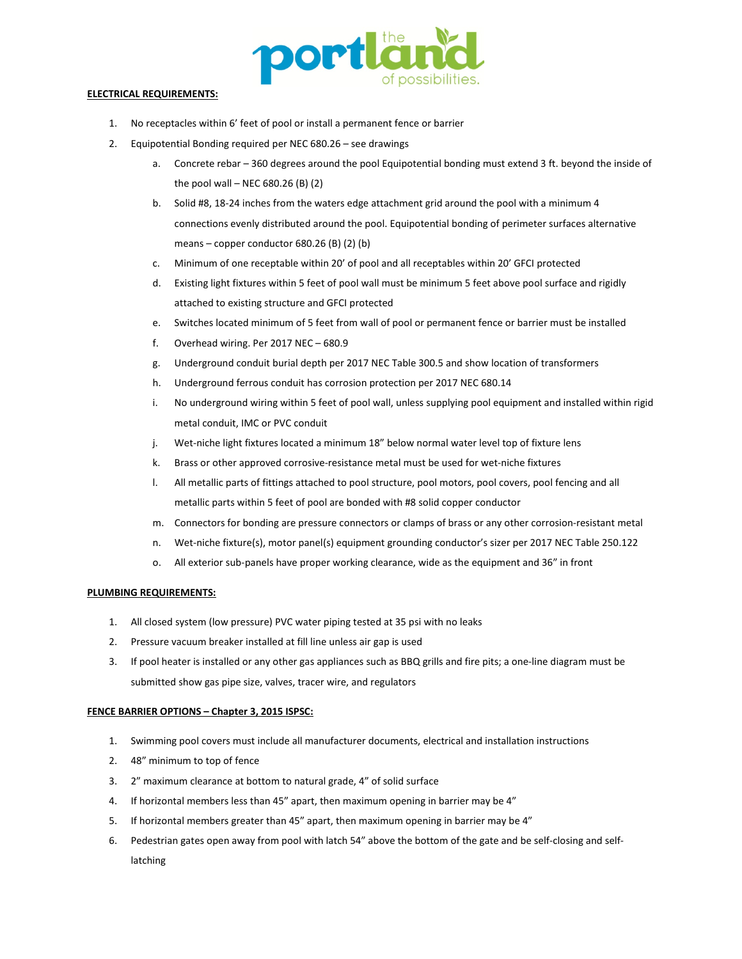

# **ELECTRICAL REQUIREMENTS:**

- 1. No receptacles within 6' feet of pool or install a permanent fence or barrier
- 2. Equipotential Bonding required per NEC 680.26 see drawings
	- a. Concrete rebar 360 degrees around the pool Equipotential bonding must extend 3 ft. beyond the inside of the pool wall – NEC 680.26 (B)  $(2)$
	- b. Solid #8, 18-24 inches from the waters edge attachment grid around the pool with a minimum 4 connections evenly distributed around the pool. Equipotential bonding of perimeter surfaces alternative means – copper conductor 680.26 (B) (2) (b)
	- c. Minimum of one receptable within 20' of pool and all receptables within 20' GFCI protected
	- d. Existing light fixtures within 5 feet of pool wall must be minimum 5 feet above pool surface and rigidly attached to existing structure and GFCI protected
	- e. Switches located minimum of 5 feet from wall of pool or permanent fence or barrier must be installed
	- f. Overhead wiring. Per 2017 NEC 680.9
	- g. Underground conduit burial depth per 2017 NEC Table 300.5 and show location of transformers
	- h. Underground ferrous conduit has corrosion protection per 2017 NEC 680.14
	- i. No underground wiring within 5 feet of pool wall, unless supplying pool equipment and installed within rigid metal conduit, IMC or PVC conduit
	- j. Wet-niche light fixtures located a minimum 18" below normal water level top of fixture lens
	- k. Brass or other approved corrosive-resistance metal must be used for wet-niche fixtures
	- l. All metallic parts of fittings attached to pool structure, pool motors, pool covers, pool fencing and all metallic parts within 5 feet of pool are bonded with #8 solid copper conductor
	- m. Connectors for bonding are pressure connectors or clamps of brass or any other corrosion-resistant metal
	- n. Wet-niche fixture(s), motor panel(s) equipment grounding conductor's sizer per 2017 NEC Table 250.122
	- o. All exterior sub-panels have proper working clearance, wide as the equipment and 36" in front

### **PLUMBING REQUIREMENTS:**

- 1. All closed system (low pressure) PVC water piping tested at 35 psi with no leaks
- 2. Pressure vacuum breaker installed at fill line unless air gap is used
- 3. If pool heater is installed or any other gas appliances such as BBQ grills and fire pits; a one-line diagram must be submitted show gas pipe size, valves, tracer wire, and regulators

# **FENCE BARRIER OPTIONS – Chapter 3, 2015 ISPSC:**

- 1. Swimming pool covers must include all manufacturer documents, electrical and installation instructions
- 2. 48" minimum to top of fence
- 3. 2" maximum clearance at bottom to natural grade, 4" of solid surface
- 4. If horizontal members less than 45" apart, then maximum opening in barrier may be 4"
- 5. If horizontal members greater than 45" apart, then maximum opening in barrier may be 4"
- 6. Pedestrian gates open away from pool with latch 54" above the bottom of the gate and be self-closing and selflatching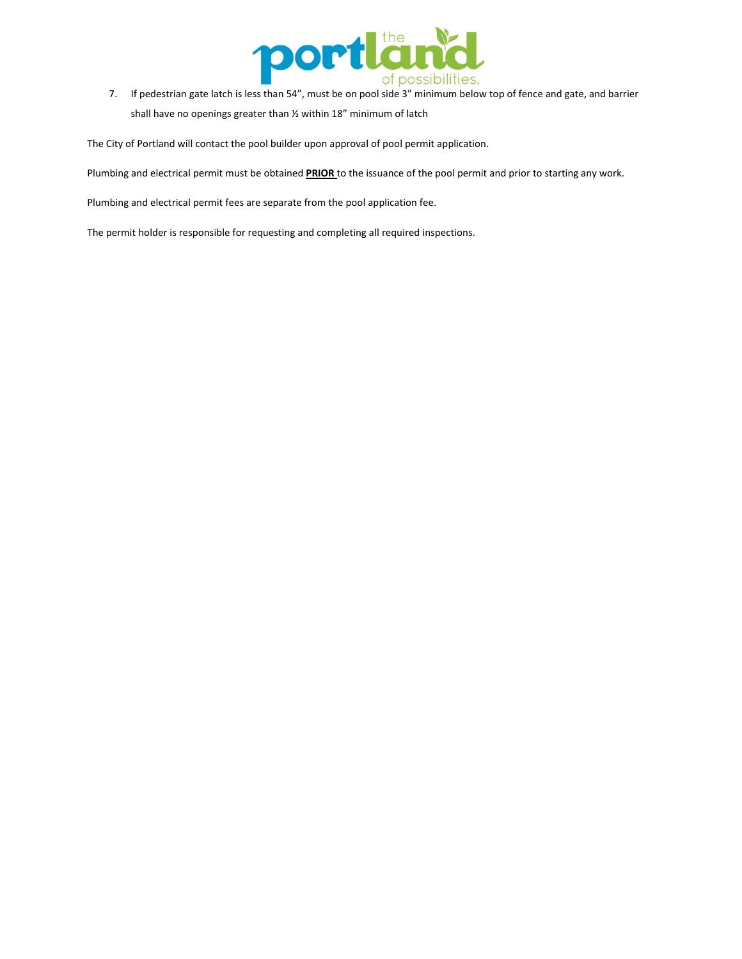

7. If pedestrian gate latch is less than 54", must be on pool side 3" minimum below top of fence and gate, and barrier shall have no openings greater than ½ within 18" minimum of latch

The City of Portland will contact the pool builder upon approval of pool permit application.

Plumbing and electrical permit must be obtained **PRIOR** to the issuance of the pool permit and prior to starting any work.

Plumbing and electrical permit fees are separate from the pool application fee.

The permit holder is responsible for requesting and completing all required inspections.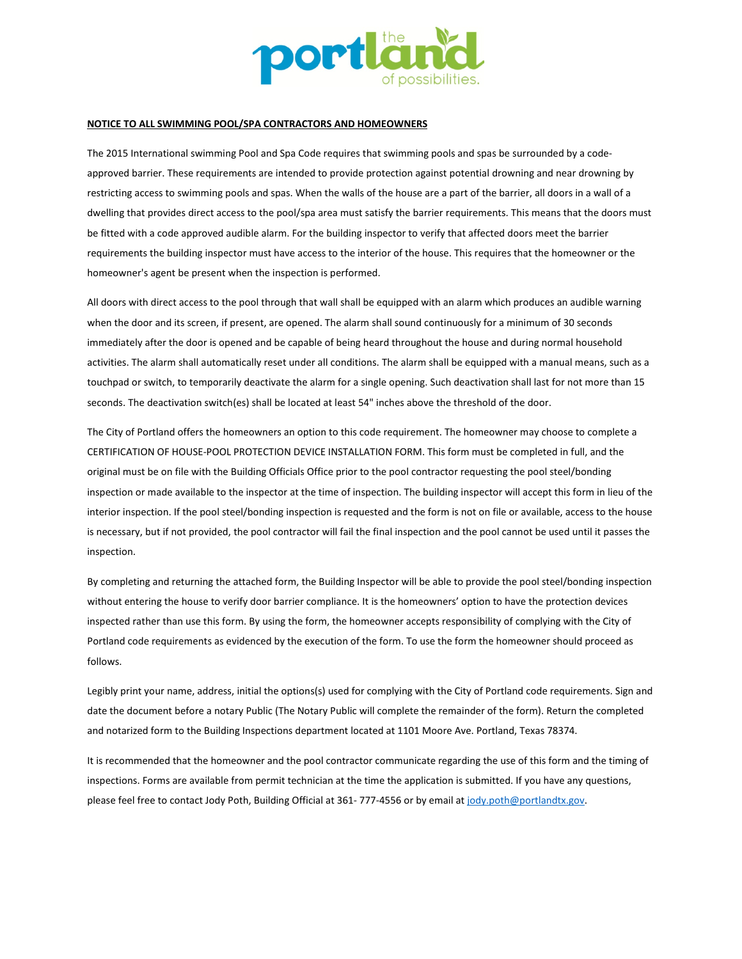

#### **NOTICE TO ALL SWIMMING POOL/SPA CONTRACTORS AND HOMEOWNERS**

The 2015 International swimming Pool and Spa Code requires that swimming pools and spas be surrounded by a codeapproved barrier. These requirements are intended to provide protection against potential drowning and near drowning by restricting access to swimming pools and spas. When the walls of the house are a part of the barrier, all doors in a wall of a dwelling that provides direct access to the pool/spa area must satisfy the barrier requirements. This means that the doors must be fitted with a code approved audible alarm. For the building inspector to verify that affected doors meet the barrier requirements the building inspector must have access to the interior of the house. This requires that the homeowner or the homeowner's agent be present when the inspection is performed.

All doors with direct access to the pool through that wall shall be equipped with an alarm which produces an audible warning when the door and its screen, if present, are opened. The alarm shall sound continuously for a minimum of 30 seconds immediately after the door is opened and be capable of being heard throughout the house and during normal household activities. The alarm shall automatically reset under all conditions. The alarm shall be equipped with a manual means, such as a touchpad or switch, to temporarily deactivate the alarm for a single opening. Such deactivation shall last for not more than 15 seconds. The deactivation switch(es) shall be located at least 54" inches above the threshold of the door.

The City of Portland offers the homeowners an option to this code requirement. The homeowner may choose to complete a CERTIFICATION OF HOUSE-POOL PROTECTION DEVICE INSTALLATION FORM. This form must be completed in full, and the original must be on file with the Building Officials Office prior to the pool contractor requesting the pool steel/bonding inspection or made available to the inspector at the time of inspection. The building inspector will accept this form in lieu of the interior inspection. If the pool steel/bonding inspection is requested and the form is not on file or available, access to the house is necessary, but if not provided, the pool contractor will fail the final inspection and the pool cannot be used until it passes the inspection.

By completing and returning the attached form, the Building Inspector will be able to provide the pool steel/bonding inspection without entering the house to verify door barrier compliance. It is the homeowners' option to have the protection devices inspected rather than use this form. By using the form, the homeowner accepts responsibility of complying with the City of Portland code requirements as evidenced by the execution of the form. To use the form the homeowner should proceed as follows.

Legibly print your name, address, initial the options(s) used for complying with the City of Portland code requirements. Sign and date the document before a notary Public (The Notary Public will complete the remainder of the form). Return the completed and notarized form to the Building Inspections department located at 1101 Moore Ave. Portland, Texas 78374.

It is recommended that the homeowner and the pool contractor communicate regarding the use of this form and the timing of inspections. Forms are available from permit technician at the time the application is submitted. If you have any questions, please feel free to contact Jody Poth, Building Official at 361-777-4556 or by email at jody.poth@portlandtx.gov.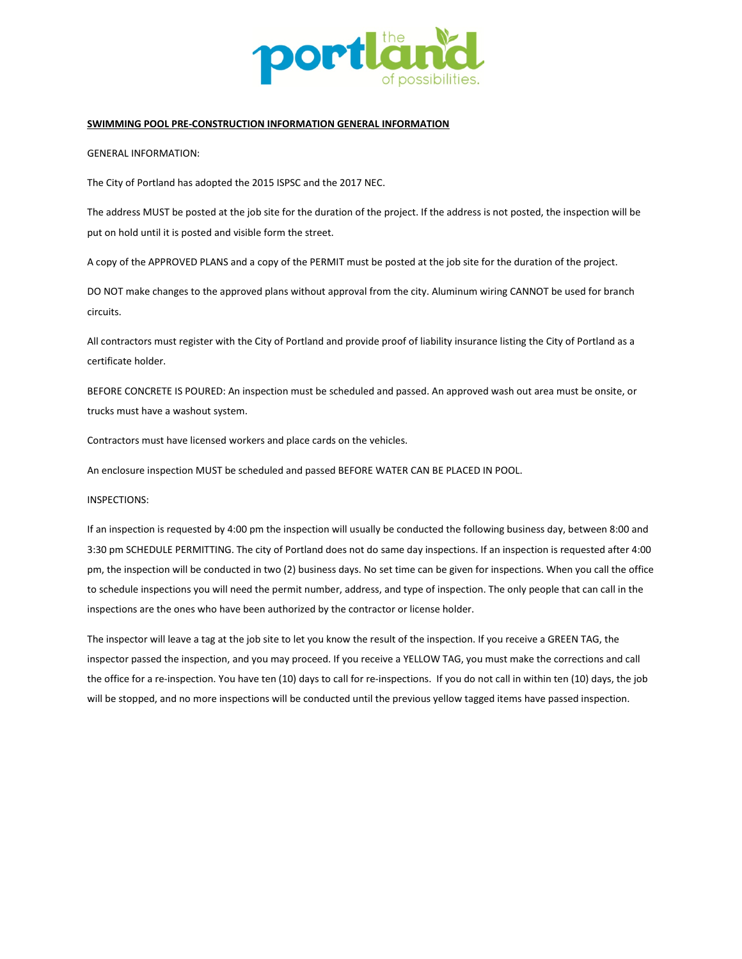

# **SWIMMING POOL PRE-CONSTRUCTION INFORMATION GENERAL INFORMATION**

GENERAL INFORMATION:

The City of Portland has adopted the 2015 ISPSC and the 2017 NEC.

The address MUST be posted at the job site for the duration of the project. If the address is not posted, the inspection will be put on hold until it is posted and visible form the street.

A copy of the APPROVED PLANS and a copy of the PERMIT must be posted at the job site for the duration of the project.

DO NOT make changes to the approved plans without approval from the city. Aluminum wiring CANNOT be used for branch circuits.

All contractors must register with the City of Portland and provide proof of liability insurance listing the City of Portland as a certificate holder.

BEFORE CONCRETE IS POURED: An inspection must be scheduled and passed. An approved wash out area must be onsite, or trucks must have a washout system.

Contractors must have licensed workers and place cards on the vehicles.

An enclosure inspection MUST be scheduled and passed BEFORE WATER CAN BE PLACED IN POOL.

#### INSPECTIONS:

If an inspection is requested by 4:00 pm the inspection will usually be conducted the following business day, between 8:00 and 3:30 pm SCHEDULE PERMITTING. The city of Portland does not do same day inspections. If an inspection is requested after 4:00 pm, the inspection will be conducted in two (2) business days. No set time can be given for inspections. When you call the office to schedule inspections you will need the permit number, address, and type of inspection. The only people that can call in the inspections are the ones who have been authorized by the contractor or license holder.

The inspector will leave a tag at the job site to let you know the result of the inspection. If you receive a GREEN TAG, the inspector passed the inspection, and you may proceed. If you receive a YELLOW TAG, you must make the corrections and call the office for a re-inspection. You have ten (10) days to call for re-inspections. If you do not call in within ten (10) days, the job will be stopped, and no more inspections will be conducted until the previous yellow tagged items have passed inspection.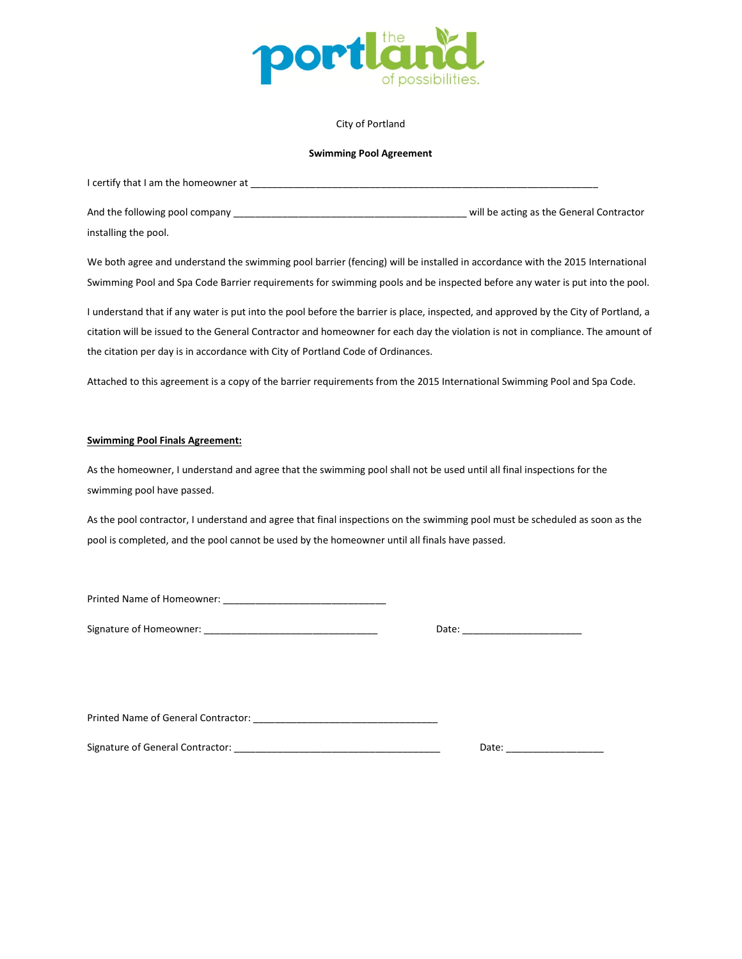

### City of Portland

### **Swimming Pool Agreement**

| I certify that I am the homeowner at |                                          |
|--------------------------------------|------------------------------------------|
| And the following pool company       | will be acting as the General Contractor |
| installing the pool.                 |                                          |

We both agree and understand the swimming pool barrier (fencing) will be installed in accordance with the 2015 International Swimming Pool and Spa Code Barrier requirements for swimming pools and be inspected before any water is put into the pool.

I understand that if any water is put into the pool before the barrier is place, inspected, and approved by the City of Portland, a citation will be issued to the General Contractor and homeowner for each day the violation is not in compliance. The amount of the citation per day is in accordance with City of Portland Code of Ordinances.

Attached to this agreement is a copy of the barrier requirements from the 2015 International Swimming Pool and Spa Code.

#### **Swimming Pool Finals Agreement:**

As the homeowner, I understand and agree that the swimming pool shall not be used until all final inspections for the swimming pool have passed.

As the pool contractor, I understand and agree that final inspections on the swimming pool must be scheduled as soon as the pool is completed, and the pool cannot be used by the homeowner until all finals have passed.

Printed Name of Homeowner: \_\_\_\_\_\_\_\_\_\_\_\_\_\_\_\_\_\_\_\_\_\_\_\_\_\_\_\_\_\_

Signature of Homeowner: **Example 20** 

Printed Name of General Contractor: \_\_\_\_\_\_\_\_\_\_\_\_\_\_\_\_\_\_\_\_\_\_\_\_\_\_\_\_\_\_\_\_\_\_

Signature of General Contractor: \_\_\_\_\_\_\_\_\_\_\_\_\_\_\_\_\_\_\_\_\_\_\_\_\_\_\_\_\_\_\_\_\_\_\_\_\_\_ Date: \_\_\_\_\_\_\_\_\_\_\_\_\_\_\_\_\_\_